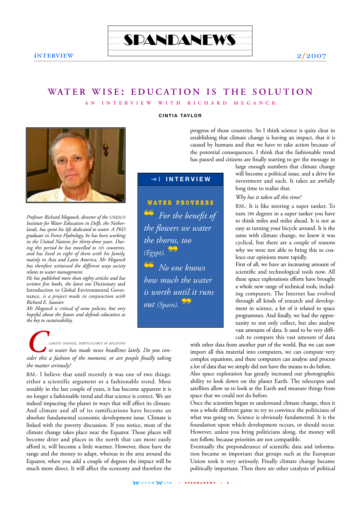

# WATER WISE: EDUCATION IS THE SOLUTION

**AN INTERVIEW WITH RICHARD MEGANCK**



*Professor Richard Meganck, director of the UNESCO Institute for Water Education in Delft, the Netherlands, has spent his life dedicated to water. A PhD graduate in Forest Hydrology, he has been working in the United Nations for thirty-three years. During this period he has travelled to 105 countries, and has lived in eight of them with his family, mainly in Asia and Latin America. Mr Meganck has therefore witnessed the different ways society relates to water management.* 

*He has published more than eighty articles and has written five books, the latest one* Dictionary and Introduction to Global Environmental Governance*, is a project made in conjunction with Richard E. Saunier.*

*Mr Meganck is critical of some policies, but very hopeful about the future and defends education as the key to sustainability.* 

*CLIMATE CHANGE, PARTICULARLY IN RELATION sider this a fashion of the moment, or are people finally taking to water has made news headlines lately. Do you conthe matter seriously?*

RM.: I believe that until recently it was one of two things: either a scientific argument or a fashionable trend. Most notably in the last couple of years, it has become apparent it is no longer a fashionable trend and that science is correct. We are indeed impacting the planet in ways that will affect its climate. And climate and all of its ramifications have become an absolute fundamental economic development issue. Climate is linked with the poverty discussion. If you notice, most of the climate change takes place near the Equator. Those places will become drier and places in the north that can more easily afford it, will become a little warmer. However, these have the range and the money to adapt, whereas in the area around the Equator, when you add a couple of degrees the impact will be much more direct. It will affect the economy and therefore the

#### **CINTIA TAYLOR**

progress of those countries. So I think science is quite clear in establishing that climate change is having an impact, that it is caused by humans and that we have to take action because of the potential consequences. I think that the fashionable trend has passed and citizens are finally starting to get the message in

# g | **INTERVIEW**

**WATER PROVERBS** ❝ *For the benefit of the flowers we water the thorns, too*  $(Eg\gamma pt)$ .  $\frac{S}{\sqrt{2}}$ ❝ *No one knows how much the water is worth until it runs out (Spain).*❞

large enough numbers that climate change will become a political issue, and a drive for investment and such. It takes an awfully long time to realise that.

*Why has it taken all this time?*

RM.: It is like steering a super tanker. To turn 180 degrees in a super tanker you have to think miles and miles ahead. It is not as easy as turning your bicycle around. It is the same with climate change, we knew it was cyclical, but there are a couple of reasons why we were not able to bring this to coalesce our opinions more rapidly.

First of all, we have an increasing amount of scientific and technological tools now. All these space explorations efforts have brought a whole new range of technical tools, including computers. The Internet has evolved through all kinds of research and development in science, a lot of it related to space programmes. And finally, we had the opportunity to not only collect, but also analyse vast amounts of data. It used to be very difficult to compare this vast amount of data

with other data from another part of the world. But we can now import all this material into computers, we can compute very complex equations, and these computers can analyse and process a lot of data that we simply did not have the means to do before.

Also space exploration has greatly increased our photographic ability to look down on the planet Earth. The telescopes and satellites allow us to look at the Earth and measure things from space that we could not do before.

Once the scientists began to understand climate change, then it was a whole different game to try to convince the politicians of what was going on. Science is obviously fundamental. It is the foundation upon which development occurs, or should occur. However, unless you bring politicians along, the money will not follow, because priorities are not compatible.

Eventually the preponderance of scientific data and information became so important that groups such as the European Union took it very seriously. Finally climate change became politically important. Then there are other catalysts of political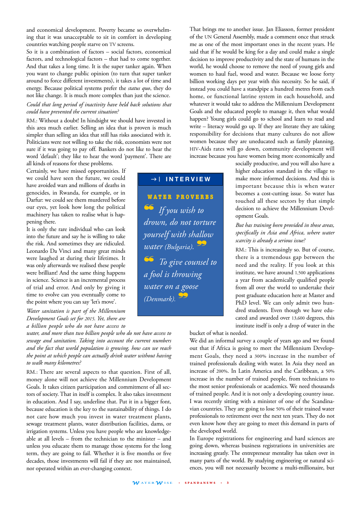and economical development. Poverty became so overwhelming that it was unacceptable to sit in comfort in developing countries watching people starve on TV screens.

So it is a combination of factors – social factors, economical factors, and technological factors – that had to come together. And that takes a long time. It is the super tanker again. When you want to change public opinion (to turn that super tanker around to force different investments), it takes a lot of time and energy. Because political systems prefer the *status quo*, they do not like change. It is much more complex than just the science.

#### *Could that long period of inactivity have held back solutions that could have prevented the current situation?*

RM.: Without a doubt! In hindsight we should have invested in this area much earlier. Selling an idea that is proven is much simpler than selling an idea that still has risks associated with it. Politicians were not willing to take the risk, economists were not sure if it was going to pay off. Bankers do not like to hear the word 'default'; they like to hear the word 'payment'. There are all kinds of reasons for these problems.

Certainly, we have missed opportunities. If we could have seen the future, we could have avoided wars and millions of deaths in genocides, in Rwanda, for example, or in Darfur: we could see them murdered before our eyes, yet look how long the political machinery has taken to realise what is happening there.

It is only the rare individual who can look into the future and say he is willing to take the risk. And sometimes they are ridiculed. Leonardo Da Vinci and many great minds were laughed at during their lifetimes. It was only afterwards we realised these people were brilliant! And the same thing happens in science. Science is an incremental process of trial and error. And only by giving it time to evolve can you eventually come to the point where you can say 'let's move'.

*Water sanitation is part of the Millennium Development Goals set for 2015. Yet, there are a billion people who do not have access to*

*water, and more than two billion people who do not have access to sewage and sanitation. Taking into account the current numbers and the fact that world population is growing, how can we reach the point at which people can actually drink water without having to walk many kilometres?*

RM.: There are several aspects to that question. First of all, money alone will not achieve the Millennium Development Goals. It takes citizen participation and commitment of all sectors of society. That in itself is complex. It also takes investment in education. And I say, underline that. Put it in a bigger font, because education is the key to the sustainability of things. I do not care how much you invest in water treatment plants, sewage treatment plants, water distribution facilities, dams, or irrigation systems. Unless you have people who are knowledgeable at all levels – from the technician to the minister – and unless you educate them to manage those systems for the long term, they are going to fail. Whether it is five months or five decades, those investments will fail if they are not maintained, nor operated within an ever-changing context.

That brings me to another issue. Jan Eliasson, former president of the UN General Assembly, made a comment once that struck me as one of the most important ones in the recent years. He said that if he would be king for a day and could make a single decision to improve productivity and the state of humans in the world, he would choose to remove the need of young girls and women to haul fuel, wood and water. Because we loose forty billion working days per year with this necessity. So he said, if instead you could have a standpipe a hundred metres from each home, or functional latrine system in each household, and whatever it would take to address the Millennium Development Goals and the educated people to manage it, then what would happen? Young girls could go to school and learn to read and write – literacy would go up. If they are literate they are taking responsibility for decisions that many cultures do not allow women because they are uneducated such as family planning. HIV-Aids rates will go down, community development will increase because you have women being more economically and

socially productive, and you will also have a higher education standard in the village to make more informed decisions. And this is important because this is when water becomes a cost-cutting issue. So water has touched all these sectors by that simple decision to achieve the Millennium Development Goals.

#### *But has training been provided in those areas, specifically in Asia and Africa, where water scarcity is already a serious issue?*

RM.: This is increasingly so. But of course, there is a tremendous gap between the need and the reality. If you look at this institute, we have around 1,500 applications a year from academically qualified people from all over the world to undertake their post graduate education here at Master and PhD level. We can only admit two hundred students. Even though we have educated and awarded over 13,600 degrees, this institute itself is only a drop of water in the

bucket of what is needed.

We did an informal survey a couple of years ago and we found out that if Africa is going to meet the Millennium Development Goals, they need a 300% increase in the number of trained professionals dealing with water. In Asia they need an increase of 200%. In Latin America and the Caribbean, a 50% increase in the number of trained people, from technicians to the most senior professionals or academics. We need thousands of trained people. And it is not only a developing country issue. I was recently sitting with a minister of one of the Scandinavian countries. They are going to lose 50% of their trained water professionals to retirement over the next ten years. They do not even know how they are going to meet this demand in parts of the developed world.

In Europe registrations for engineering and hard sciences are going down, whereas business registrations in universities are increasing greatly. The entrepreneur mentality has taken over in many parts of the world. By studying engineering or natural sciences, you will not necessarily become a multi-millionaire, but

*W* **ATER***W* **ISE • S P AND ANEWS • <sup>3</sup>**

**WATER PROVERBS** ❝ *If you wish to drown, do not torture yourself with shallow water (Bulgaria).*❞ ❝ *To give counsel to a fool is throwing water on a goose*

g | **INTERVIEW**

*(Denmark).*❞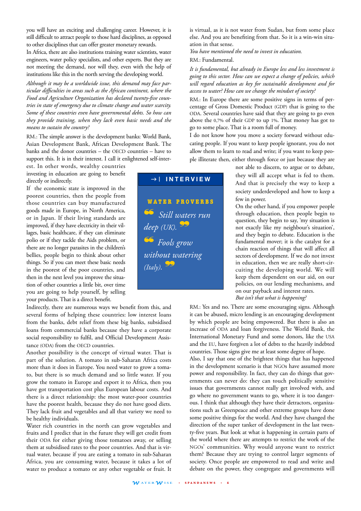you will have an exciting and challenging career. However, it is still difficult to attract people to those hard disciplines, as opposed to other disciplines that can offer greater monetary rewards.

In Africa, there are also institutions training water scientists, water engineers, water policy specialists, and other experts. But they are not meeting the demand, nor will they, even with the help of institutions like this in the north serving the developing world.

*Although it may be a worldwide issue, this demand may face particular difficulties in areas such as the African continent, where the Food and Agriculture Organization has declared twenty-five countries in state of emergency due to climate change and water scarcity. Some of these countries even have governmental debts. So how can they provide training, when they lack even basic needs and the means to sustain the country?*

RM.: The simple answer is the development banks: World Bank, Asian Development Bank, African Development Bank. The banks and the donor countries – the OECD countries – have to support this. It is in their interest. I call it enlightened self-interest. In other words, wealthy countries

investing in education are going to benefit directly or indirectly.

If the economic state is improved in the poorest countries, then the people from those countries can buy manufactured goods made in Europe, in North America, or in Japan. If their living standards are improved, if they have electricity in their villages, basic healthcare, if they can eliminate polio or if they tackle the Aids problem, or there are no longer parasites in the children's bellies, people begin to think about other things. So if you can meet these basic needs in the poorest of the poor countries, and then in the next level you improve the situation of other countries a little bit, over time you are going to help yourself, by selling your products. That is a direct benefit.

Indirectly, there are numerous ways we benefit from this, and several forms of helping these countries: low interest loans from the banks, debt relief from these big banks, subsidised loans from commercial banks because they have a corporate social responsibility to fulfil, and Official Development Assistance (ODA) from the OECD countries.

Another possibility is the concept of virtual water. That is part of the solution. A tomato in sub-Saharan Africa costs more than it does in Europe. You need water to grow a tomato, but there is so much demand and so little water. If you grow the tomato in Europe and export it to Africa, then you have got transportation cost plus European labour costs. And there is a direct relationship: the most water-poor countries have the poorest health, because they do not have good diets. They lack fruit and vegetables and all that variety we need to be healthy individuals.

Water rich countries in the north can grow vegetables and fruits and I predict that in the future they will get credit from their ODA for either giving those tomatoes away, or selling them at subsidised rates to the poor countries. And that is virtual water, because if you are eating a tomato in sub-Saharan Africa, you are consuming water, because it takes a lot of water to produce a tomato or any other vegetable or fruit. It

is virtual, as it is not water from Sudan, but from some place else. And you are benefiting from that. So it is a win-win situation in that sense.

*You have mentioned the need to invest in education.*

RM.: Fundamental.

*It is fundamental, but already in Europe less and less investment is going to this sector. How can we expect a change of policies, which will regard education as key for sustainable development and for access to water? How can we change the mindset of society?*

RM.: In Europe there are some positive signs in terms of percentage of Gross Domestic Product (GDP) that is going to the ODA. Several countries have said that they are going to go even above the 0,7% of their GDP to up 1%. That money has got to go to some place. That is a room full of money.

I do not know how you move a society forward without educating people. If you want to keep people ignorant, you do not allow them to learn to read and write; if you want to keep people illiterate then, either through force or just because they are

> not able to discern, to argue or to debate, they will all accept what is fed to them. And that is precisely the way to keep a society underdeveloped and how to keep a few in power.

> On the other hand, if you empower people through education, then people begin to question, they begin to say, 'my situation is not exactly like my neighbour's situation', and they begin to debate. Education is the fundamental mover; it is the catalyst for a chain reaction of things that will affect all sectors of development. If we do not invest in education, then we are really short-circuiting the developing world. We will keep them dependent on our aid, on our policies, on our lending mechanisms, and on our payback and interest rates. *But isn't that what is happening?*

RM.: Yes and no. There are some encouraging signs. Although

it can be abused, micro lending is an encouraging development by which people are being empowered. But there is also an increase of ODA and loan forgiveness. The World Bank, the International Monetary Fund and some donors, like the USA and the EU, have forgiven a lot of debts to the heavily indebted countries. Those signs give me at least some degree of hope.

Also, I say that one of the brightest things that has happened in the development scenario is that NGOs have assumed more power and responsibility. In fact, they can do things that governments can never do: they can touch politically sensitive issues that governments cannot really get involved with, and go where no government wants to go, where it is too dangerous. I think that although they have their detractors, organizations such as Greenpeace and other extreme groups have done some positive things for the world. And they have changed the direction of the super tanker of development in the last twenty-five years. But look at what is happening in certain parts of the world where there are attempts to restrict the work of the NGOs' communities. Why would anyone want to restrict them? Because they are trying to control larger segments of society. Once people are empowered to read and write and debate on the power, they congregate and governments will

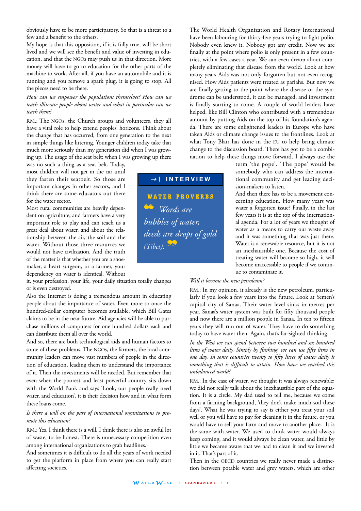obviously have to be more participatory. So that is a threat to a few and a benefit to the others.

My hope is that this opposition, if it is fully true, will be short lived and we will see the benefit and value of investing in education, and that the NGOs may push us in that direction. More money will have to go to education for the other parts of the machine to work. After all, if you have an automobile and it is running and you remove a spark plug, it is going to stop. All the pieces need to be there.

#### *How can we empower the populations themselves? How can we teach illiterate people about water and what in particular can we teach them?*

RM.: The NGOs, the Church groups and volunteers, they all have a vital role to help extend peoples' horizons. Think about the change that has occurred, from one generation to the next in simple things like littering. Younger children today take that much more seriously than my generation did when I was growing up. The usage of the seat belt: when I was growing up there

was no such a thing as a seat belt. Today, most children will not get in the car until they fasten their seatbelt. So those are important changes in other sectors, and I think there are some educators out there for the water sector.

Most rural communities are heavily dependent on agriculture, and farmers have a very important role to play and can teach us a great deal about water, and about the relationship between the air, the soil and the water. Without those three resources we would not have civilization. And the truth of the matter is that whether you are a shoemaker, a heart surgeon, or a farmer, your dependency on water is identical. Without

it, your profession, your life, your daily situation totally changes or is even destroyed.

Also the Internet is doing a tremendous amount in educating people about the importance of water. Even more so once the hundred-dollar computer becomes available, which Bill Gates claims to be in the near future. Aid agencies will be able to purchase millions of computers for one hundred dollars each and can distribute them all over the world.

And so, there are both technological aids and human factors to some of these problems. The NGOs, the farmers, the local community leaders can move vast numbers of people in the direction of education, leading them to understand the importance of it. Then the investments will be needed. But remember that even when the poorest and least powerful country sits down with the World Bank and says 'Look, our people really need water, and education', it is their decision how and in what form these loans come.

### *Is there a will on the part of international organizations to promote this education?*

RM.: Yes, I think there is a will. I think there is also an awful lot of waste, to be honest. There is unnecessary competition even among international organizations to grab headlines.

And sometimes it is difficult to do all the years of work needed to get the platform in place from where you can really start affecting societies.

**WATER PROVERBS** ❝ *Words are bubbles of water, deeds are drops of gold (Tibet).*❞ g | **INTERVIEW**

The World Health Organization and Rotary International have been labouring for thirty-five years trying to fight polio. Nobody even knew it. Nobody got any credit. Now we are finally at the point where polio is only present in a few countries, with a few cases a year. We can even dream about completely eliminating that disease from the world. Look at how many years Aids was not only forgotten but not even recognised. How Aids patients were treated as pariahs. But now we are finally getting to the point where the disease or the syndrome can be understood, it can be managed, and investment is finally starting to come. A couple of world leaders have helped, like Bill Clinton who contributed with a tremendous amount by putting Aids on the top of his foundation's agenda. There are some enlightened leaders in Europe who have taken Aids or climate change issues to the frontlines. Look at what Tony Blair has done in the EU to help bring climate change to the discussion board. There has got to be a combination to help these things move forward. I always use the

term 'the pope'. 'The pope' would be somebody who can address the international community and get leading decision-makers to listen.

And then there has to be a movement concerning education. How many years was water a forgotten issue? Finally, in the last few years it is at the top of the international agenda. For a lot of years we thought of water as a means to carry our waste away and it was something that was just there. Water is a renewable resource, but it is not an inexhaustible one. Because the cost of treating water will become so high, it will become inaccessible to people if we continue to contaminate it.

#### *Will it become the new petroleum?*

RM.: In my opinion, it already is the new petroleum, particularly if you look a few years into the future. Look at Yemen's capital city of Sanaa. Their water level sinks in metres per year. Sanaa's water system was built for fifty thousand people and now there are a million people in Sanaa. In ten to fifteen years they will run out of water. They have to do something today to have water then. Again, that's far-sighted thinking.

*In the West we can spend between two hundred and six hundred litres of water daily. Simply by flushing, we can use fifty litres in one day. In some countries twenty to fifty litres of water daily is something that is difficult to attain. How have we reached this unbalanced world?* 

RM.: In the case of water, we thought it was always renewable; we did not really talk about the inexhaustible part of the equation. It is a circle. My dad used to tell me, because we come from a farming background, 'they don't make much soil these days'. What he was trying to say is either you treat your soil well or you will have to pay for cleaning it in the future, or you would have to sell your farm and move to another place. It is the same with water. We used to think water would always keep coming, and it would always be clean water, and little by little we became aware that we had to clean it and we invested in it. That's part of it.

Then in the OECD countries we really never made a distinction between potable water and grey waters, which are other